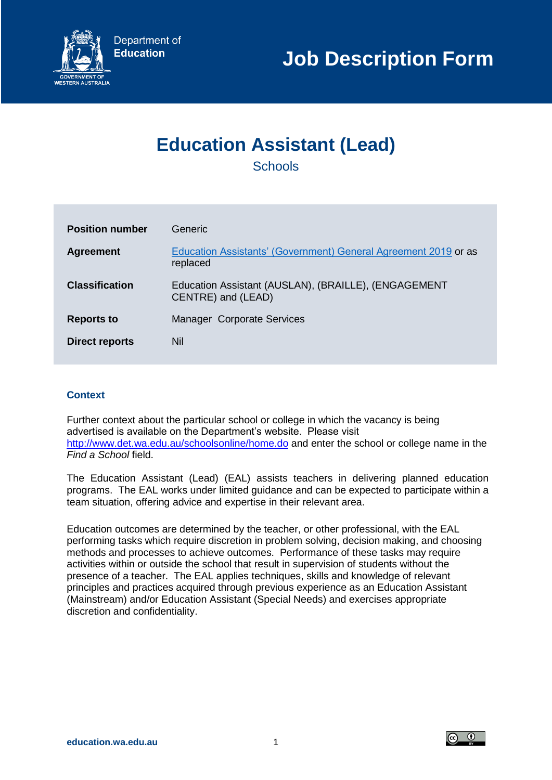

# **Education Assistant (Lead)**

**Schools** 

| <b>Position number</b> | Generic                                                                     |
|------------------------|-----------------------------------------------------------------------------|
| <b>Agreement</b>       | Education Assistants' (Government) General Agreement 2019 or as<br>replaced |
| <b>Classification</b>  | Education Assistant (AUSLAN), (BRAILLE), (ENGAGEMENT<br>CENTRE) and (LEAD)  |
| <b>Reports to</b>      | Manager Corporate Services                                                  |
| <b>Direct reports</b>  | Nil                                                                         |

# **Context**

Further context about the particular school or college in which the vacancy is being advertised is available on the Department's website. Please visit <http://www.det.wa.edu.au/schoolsonline/home.do> and enter the school or college name in the *Find a School* field.

The Education Assistant (Lead) (EAL) assists teachers in delivering planned education programs. The EAL works under limited guidance and can be expected to participate within a team situation, offering advice and expertise in their relevant area.

Education outcomes are determined by the teacher, or other professional, with the EAL performing tasks which require discretion in problem solving, decision making, and choosing methods and processes to achieve outcomes. Performance of these tasks may require activities within or outside the school that result in supervision of students without the presence of a teacher. The EAL applies techniques, skills and knowledge of relevant principles and practices acquired through previous experience as an Education Assistant (Mainstream) and/or Education Assistant (Special Needs) and exercises appropriate discretion and confidentiality.

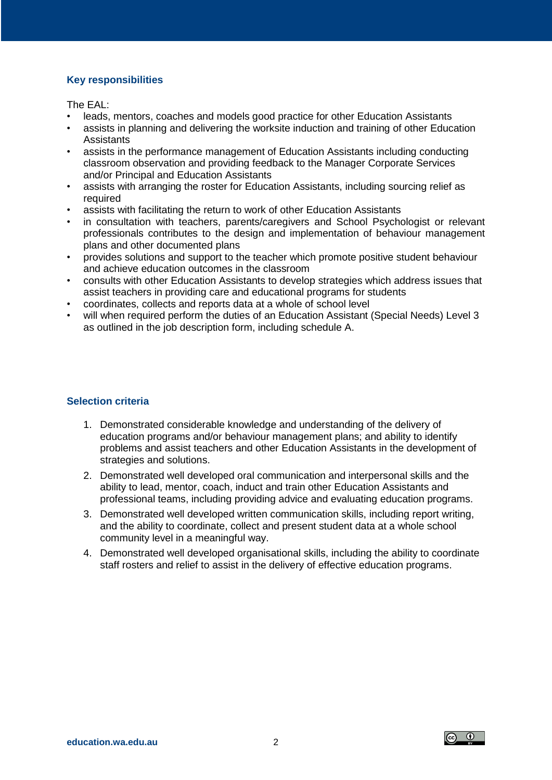# **Key responsibilities**

The EAL:

- leads, mentors, coaches and models good practice for other Education Assistants
- assists in planning and delivering the worksite induction and training of other Education **Assistants**
- assists in the performance management of Education Assistants including conducting classroom observation and providing feedback to the Manager Corporate Services and/or Principal and Education Assistants
- assists with arranging the roster for Education Assistants, including sourcing relief as required
- assists with facilitating the return to work of other Education Assistants
- in consultation with teachers, parents/caregivers and School Psychologist or relevant professionals contributes to the design and implementation of behaviour management plans and other documented plans
- provides solutions and support to the teacher which promote positive student behaviour and achieve education outcomes in the classroom
- consults with other Education Assistants to develop strategies which address issues that assist teachers in providing care and educational programs for students
- coordinates, collects and reports data at a whole of school level
- will when required perform the duties of an Education Assistant (Special Needs) Level 3 as outlined in the job description form, including schedule A.

## **Selection criteria**

- 1. Demonstrated considerable knowledge and understanding of the delivery of education programs and/or behaviour management plans; and ability to identify problems and assist teachers and other Education Assistants in the development of strategies and solutions.
- 2. Demonstrated well developed oral communication and interpersonal skills and the ability to lead, mentor, coach, induct and train other Education Assistants and professional teams, including providing advice and evaluating education programs.
- 3. Demonstrated well developed written communication skills, including report writing, and the ability to coordinate, collect and present student data at a whole school community level in a meaningful way.
- 4. Demonstrated well developed organisational skills, including the ability to coordinate staff rosters and relief to assist in the delivery of effective education programs.